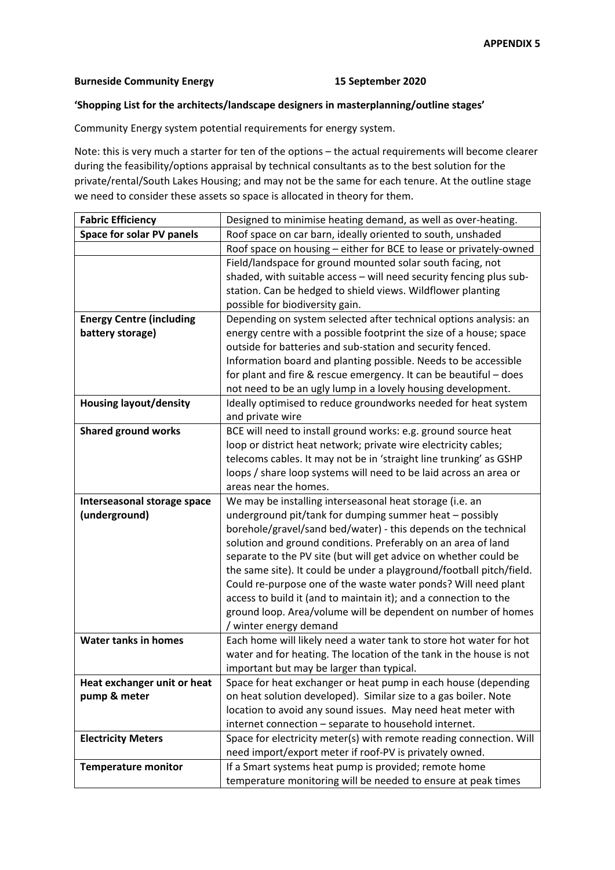## **Burneside Community Energy 15 September 2020**

## **'Shopping List for the architects/landscape designers in masterplanning/outline stages'**

Community Energy system potential requirements for energy system.

Note: this is very much a starter for ten of the options – the actual requirements will become clearer during the feasibility/options appraisal by technical consultants as to the best solution for the private/rental/South Lakes Housing; and may not be the same for each tenure. At the outline stage we need to consider these assets so space is allocated in theory for them.

| <b>Fabric Efficiency</b>        | Designed to minimise heating demand, as well as over-heating.        |
|---------------------------------|----------------------------------------------------------------------|
| Space for solar PV panels       | Roof space on car barn, ideally oriented to south, unshaded          |
|                                 | Roof space on housing - either for BCE to lease or privately-owned   |
|                                 | Field/landspace for ground mounted solar south facing, not           |
|                                 | shaded, with suitable access - will need security fencing plus sub-  |
|                                 | station. Can be hedged to shield views. Wildflower planting          |
|                                 | possible for biodiversity gain.                                      |
| <b>Energy Centre (including</b> | Depending on system selected after technical options analysis: an    |
| battery storage)                | energy centre with a possible footprint the size of a house; space   |
|                                 | outside for batteries and sub-station and security fenced.           |
|                                 | Information board and planting possible. Needs to be accessible      |
|                                 | for plant and fire & rescue emergency. It can be beautiful - does    |
|                                 | not need to be an ugly lump in a lovely housing development.         |
| <b>Housing layout/density</b>   | Ideally optimised to reduce groundworks needed for heat system       |
|                                 | and private wire                                                     |
| <b>Shared ground works</b>      | BCE will need to install ground works: e.g. ground source heat       |
|                                 | loop or district heat network; private wire electricity cables;      |
|                                 | telecoms cables. It may not be in 'straight line trunking' as GSHP   |
|                                 | loops / share loop systems will need to be laid across an area or    |
|                                 | areas near the homes.                                                |
| Interseasonal storage space     | We may be installing interseasonal heat storage (i.e. an             |
| (underground)                   | underground pit/tank for dumping summer heat - possibly              |
|                                 | borehole/gravel/sand bed/water) - this depends on the technical      |
|                                 | solution and ground conditions. Preferably on an area of land        |
|                                 | separate to the PV site (but will get advice on whether could be     |
|                                 | the same site). It could be under a playground/football pitch/field. |
|                                 | Could re-purpose one of the waste water ponds? Will need plant       |
|                                 | access to build it (and to maintain it); and a connection to the     |
|                                 | ground loop. Area/volume will be dependent on number of homes        |
|                                 | / winter energy demand                                               |
| <b>Water tanks in homes</b>     | Each home will likely need a water tank to store hot water for hot   |
|                                 | water and for heating. The location of the tank in the house is not  |
|                                 | important but may be larger than typical.                            |
| Heat exchanger unit or heat     | Space for heat exchanger or heat pump in each house (depending       |
| pump & meter                    | on heat solution developed). Similar size to a gas boiler. Note      |
|                                 | location to avoid any sound issues. May need heat meter with         |
|                                 | internet connection - separate to household internet.                |
| <b>Electricity Meters</b>       | Space for electricity meter(s) with remote reading connection. Will  |
|                                 | need import/export meter if roof-PV is privately owned.              |
| <b>Temperature monitor</b>      | If a Smart systems heat pump is provided; remote home                |
|                                 | temperature monitoring will be needed to ensure at peak times        |